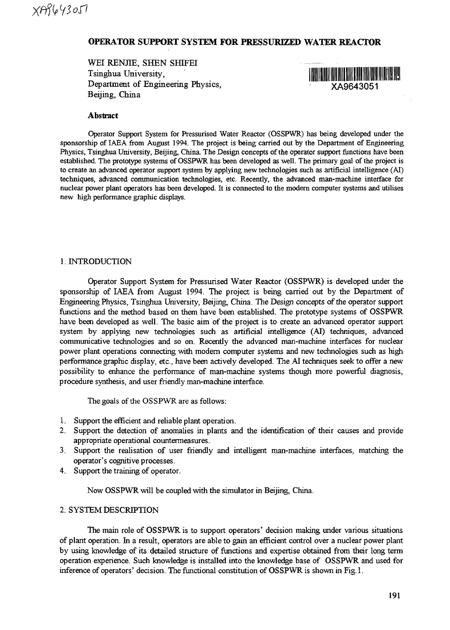# **OPERATOR SUPPORT SYSTEM FOR PRESSURIZED WATER REACTOR**

WEI RENJIE, SHEN SHIFEI Tsinghua University, Department of Engineering Physics, XA9643051 Beijing, China



### **Abstract**

Operator Support System for Pressurised Water Reactor (OSSPWR) has being developed under the sponsorship of IAEA from August 1994. The project is being carried out by the Department of Engineering Physics, Tsinghua University, Beijing, China. The Design concepts of the operator support functions have been established. The prototype systems of OSSPWR has been developed as well. The primary goal of the project is to create an advanced operator support system by applying new technologies such as artificial intelligence (AI) techniques, advanced communication technologies, etc. Recently, the advanced man-machine interface for nuclear power plant operators has been developed. It is connected to the modern computer systems and utilises new high performance graphic displays.

### 1. INTRODUCTION

Operator Support System for Pressurised Water Reactor (OSSPWR) is developed under the sponsorship of IAEA from August 1994. The project is being carried out by the Department of Engineering Physics, Tsinghua University, Beijing, China. The Design concepts of the operator support functions and the method based on them have been established. The prototype systems of OSSPWR have been developed as well. The basic aim of the project is to create an advanced operator support system by applying new technologies such as artificial intelligence (AI) techniques, advanced communicative technologies and so on. Recently the advanced man-machine interfaces for nuclear power plant operations connecting with modem computer systems and new technologies such as high performance graphic display, etc., have been actively developed. The AI techniques seek to offer a new possibility to enhance the performance of man-machine systems though more powerful diagnosis, procedure synthesis, and user friendly man-machine interface.

The goals of the OSSPWR are as follows:

- 1. Support the efficient and reliable plant operation.
- 2. Support the detection of anomalies in plants and the identification of their causes and provide appropriate operational countermeasures.
- 3. Support the realisation of user friendly and intelligent man-machine interfaces, matching the operator's cognitive processes.
- 4. Support the training of operator.

Now OSSPWR will be coupled with the simulator in Beijing, China.

## 2. SYSTEM DESCRIPTION

The main role of OSSPWR is to support operators' decision making under various situations of plant operation. In a result, operators are able to gain an efficient control over a nuclear power plant by using knowledge of its detailed structure of functions and expertise obtained from their long term operation experience. Such knowledge is installed into the knowledge base of OSSPWR and used for inference of operators' decision. The functional constitution of OSSPWR is shown in Fig.l.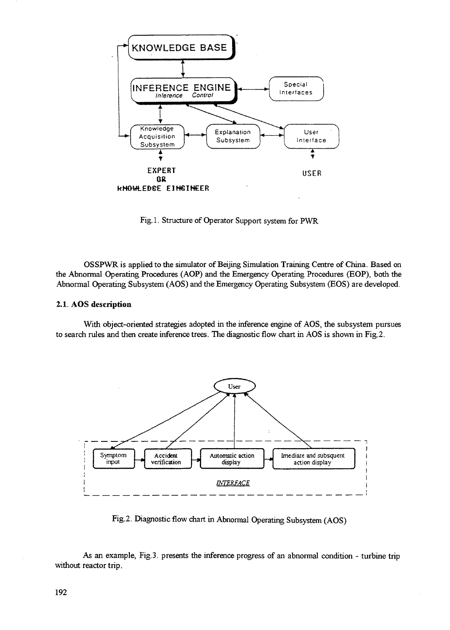

Fig. 1. Structure of Operator Support system for PWR

OSSPWR is applied to the simulator of Beijing Simulation Training Centre of China. Based on the Abnormal Operating Procedures (AOP) and the Emergency Operating Procedures (EOP), both the Abnormal Operating Subsystem (AOS) and the Emergency Operating Subsystem (EOS) are developed.

### 2.1. AOS description

With object-oriented strategies adopted in the inference engine of AOS, the subsystem pursues to search rules and then create inference trees. The diagnostic flow chart in AOS is shown in Fig.2.



Fig.2. Diagnostic flow chart in Abnormal Operating Subsystem (AOS)

As an example, Fig.3. presents the inference progress of an abnormal condition - turbine trip without reactor trip.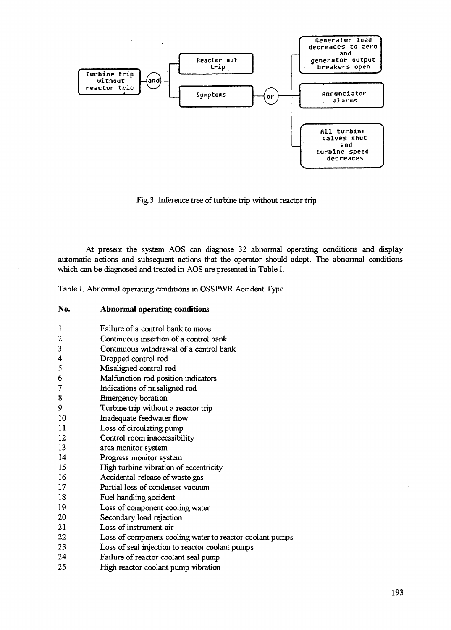

Fig. 3. Inference tree of turbine trip without reactor trip

At present the system AOS can diagnose 32 abnormal operating conditions and display automatic actions and subsequent actions that the operator should adopt. The abnormal conditions which can be diagnosed and treated in AOS are presented in Table I.

Table I. Abnormal operating conditions in OSSPWR Accident Type

| No. | Abnormal operating conditions |  |  |
|-----|-------------------------------|--|--|
|-----|-------------------------------|--|--|

| 1                       | Failure of a control bank to move                        |
|-------------------------|----------------------------------------------------------|
| 2                       | Continuous insertion of a control bank                   |
| 3                       | Continuous withdrawal of a control bank                  |
| $\overline{\mathbf{4}}$ | Dropped control rod                                      |
| 5                       | Misaligned control rod                                   |
| 6                       | Malfunction rod position indicators                      |
| 7                       |                                                          |
| 8                       | Indications of misaligned rod                            |
|                         | Emergency boration                                       |
| 9                       | Turbine trip without a reactor trip                      |
| 10                      | Inadequate feedwater flow                                |
| 11                      | Loss of circulating pump                                 |
| 12                      | Control room inaccessibility                             |
| 13                      | area monitor system                                      |
| 14                      | Progress monitor system                                  |
| 15                      | High turbine vibration of eccentricity                   |
| 16                      | Accidental release of waste gas                          |
| 17                      | Partial loss of condenser vacuum                         |
| 18                      | Fuel handling accident                                   |
| 19                      | Loss of component cooling water                          |
| 20                      | Secondary load rejection                                 |
| 21                      | Loss of instrument air                                   |
| 22                      | Loss of component cooling water to reactor coolant pumps |
| 23                      | Loss of seal injection to reactor coolant pumps          |
| 24                      | Failure of reactor coolant seal pump                     |
| 25                      | High reactor coolant pump vibration                      |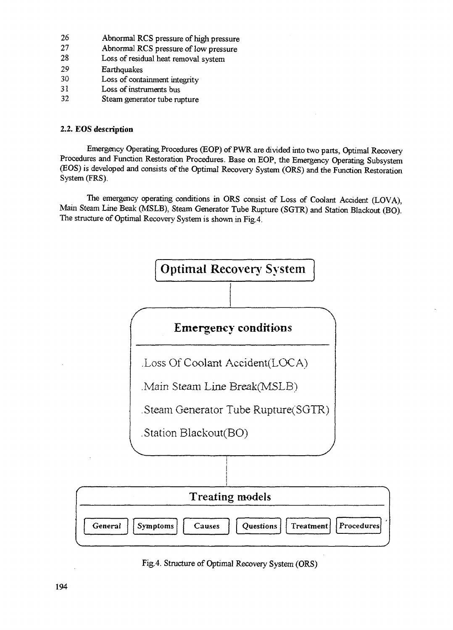- 26 Abnormal RCS pressure of high pressure<br>27 Abnormal RCS pressure of low pressure
- 27 Abnormal RCS pressure of low pressure<br>28 Loss of residual heat removal system
- Loss of residual heat removal system
- 29 Earthquakes
- 30 Loss of containment integrity<br>31 Loss of instruments hus
- 31 Loss of instruments bus<br>32 Steam generator tube ru
- Steam generator tube rupture

# **2.2. EOS description**

Emergency Operating Procedures (EOP) of PWR are divided into two parts, Optimal Recovery Procedures and Function Restoration Procedures. Base on EOP, the Emergency Operating Subsystem (EOS) is developed and consists of the Optimal Recovery System (ORS) and the Function Restoration System (FRS).

The emergency operating conditions in ORS consist of Loss of Coolant Accident (LOVA), Main Steam Line Beak (MSLB), Steam Generator Tube Rupture (SGTR) and Station Blackout (BO). The structure of Optimal Recovery System is shown in Fig.4.



Fig.4. Structure of Optimal Recovery System (ORS)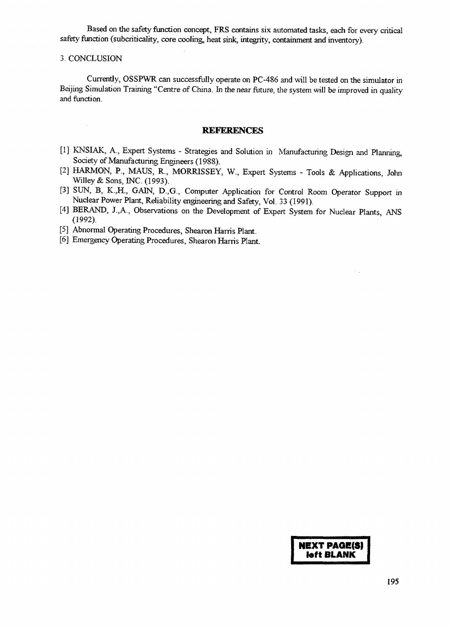Based on the safety function concept, FRS contains six automated tasks, each for every critical safety function (subcriticality, core cooling, heat sink, integrity, containment and inventory).

#### 3. CONCLUSION

 $\bar{\bar{z}}$ 

Currently, OSSPWR can successfully operate on PC-486 and will be tested on the simulator in Beijing Simulation Training "Centre of China. In the near future, the system will be improved in quality and function.

#### REFERENCES

- [1] KNSIAK, A., Expert Systems Strategies and Solution in Manufacturing Design and Planning, Society of Manufacturing Engineers (1988).
- [2] HARMON, P., MAUS, R., MORRISSEY, W., Expert Systems Tools & Applications, John Willey & Sons, INC. (1993).
- [3] SUN, B, K.,H., GAIN, D.,G., Computer Application for Control Room Operator Support in Nuclear Power Plant, Reliability engineering and Safety, Vol. 33 (1991).
- [4] BERAND, J.,A., Observations on the Development of Expert System for Nuclear Plants, ANS (1992).
- [5] Abnormal Operating Procedures, Shearon Harris Plant.
- [6] Emergency Operating Procedures, Shearon Harris Plant.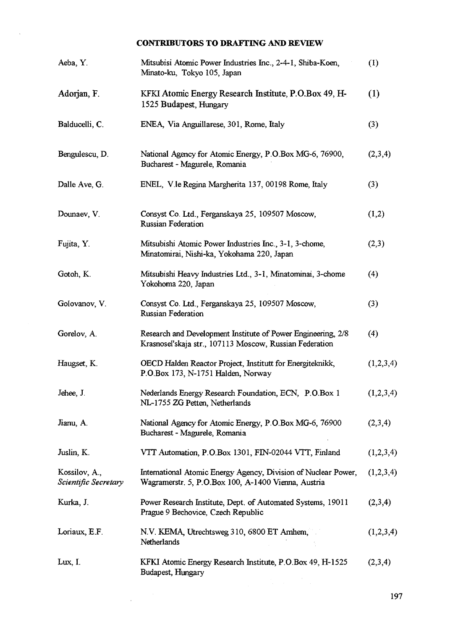# **CONTRIBUTORS TO DRAFTING AND REVIEW**

 $\sim$ 

| Aeba, Y.                              | Mitsubisi Atomic Power Industries Inc., 2-4-1, Shiba-Koen,<br>Minato-ku, Tokyo 105, Japan                               | (1)              |
|---------------------------------------|-------------------------------------------------------------------------------------------------------------------------|------------------|
| Adorjan, F.                           | KFKI Atomic Energy Research Institute, P.O.Box 49, H-<br>1525 Budapest, Hungary                                         | $\left(1\right)$ |
| Balducelli, C.                        | ENEA, Via Anguillarese, 301, Rome, Italy                                                                                | (3)              |
| Bengulescu, D.                        | National Agency for Atomic Energy, P.O.Box MG-6, 76900,<br>Bucharest - Magurele, Romania                                | (2,3,4)          |
| Dalle Ave, G.                         | ENEL, V. le Regina Margherita 137, 00198 Rome, Italy                                                                    | (3)              |
| Dounaev, V.                           | Consyst Co. Ltd., Ferganskaya 25, 109507 Moscow,<br><b>Russian Federation</b>                                           | (1,2)            |
| Fujita, Y.                            | Mitsubishi Atomic Power Industries Inc., 3-1, 3-chome,<br>Minatomirai, Nishi-ka, Yokohama 220, Japan                    | (2,3)            |
| Gotoh, K.                             | Mitsubishi Heavy Industries Ltd., 3-1, Minatominai, 3-chome<br>Yokohoma 220, Japan                                      | (4)              |
| Golovanov, V.                         | Consyst Co. Ltd., Ferganskaya 25, 109507 Moscow,<br>Russian Federation                                                  | (3)              |
| Gorelov, A.                           | Research and Development Institute of Power Engineering, 2/8<br>Krasnosel'skaja str., 107113 Moscow, Russian Federation | (4)              |
| Haugset, K.                           | OECD Halden Reactor Project, Institutt for Energiteknikk,<br>P.O.Box 173, N-1751 Halden, Norway                         | (1,2,3,4)        |
| Jehee, J.                             | Nederlands Energy Research Foundation, ECN, P.O.Box 1<br>NL-1755 ZG Petten, Netherlands                                 | (1,2,3,4)        |
| Jianu, A.                             | National Agency for Atomic Energy, P.O.Box MG-6, 76900<br>Bucharest - Magurele, Romania                                 | (2,3,4)          |
| Juslin, K.                            | VTT Automation, P.O.Box 1301, FIN-02044 VTT, Finland                                                                    | (1,2,3,4)        |
| Kossilov, A.,<br>Scientific Secretary | International Atomic Energy Agency, Division of Nuclear Power,<br>Wagramerstr. 5, P.O.Box 100, A-1400 Vienna, Austria   | (1,2,3,4)        |
| Kurka, J.                             | Power Research Institute, Dept. of Automated Systems, 19011<br>Prague 9 Bechovice, Czech Republic                       | (2,3,4)          |
| Loriaux, E.F.                         | N.V. KEMA, Utrechtsweg 310, 6800 ET Arnhem,<br>Netherlands                                                              | (1,2,3,4)        |
| Lux, I.                               | KFKI Atomic Energy Research Institute, P.O.Box 49, H-1525<br>Budapest, Hungary                                          | (2,3,4)          |

 $\label{eq:2.1} \frac{1}{\sqrt{2\pi}}\int_{0}^{\infty}\frac{dx}{\sqrt{2\pi}}\,dx\,dx.$ 

197